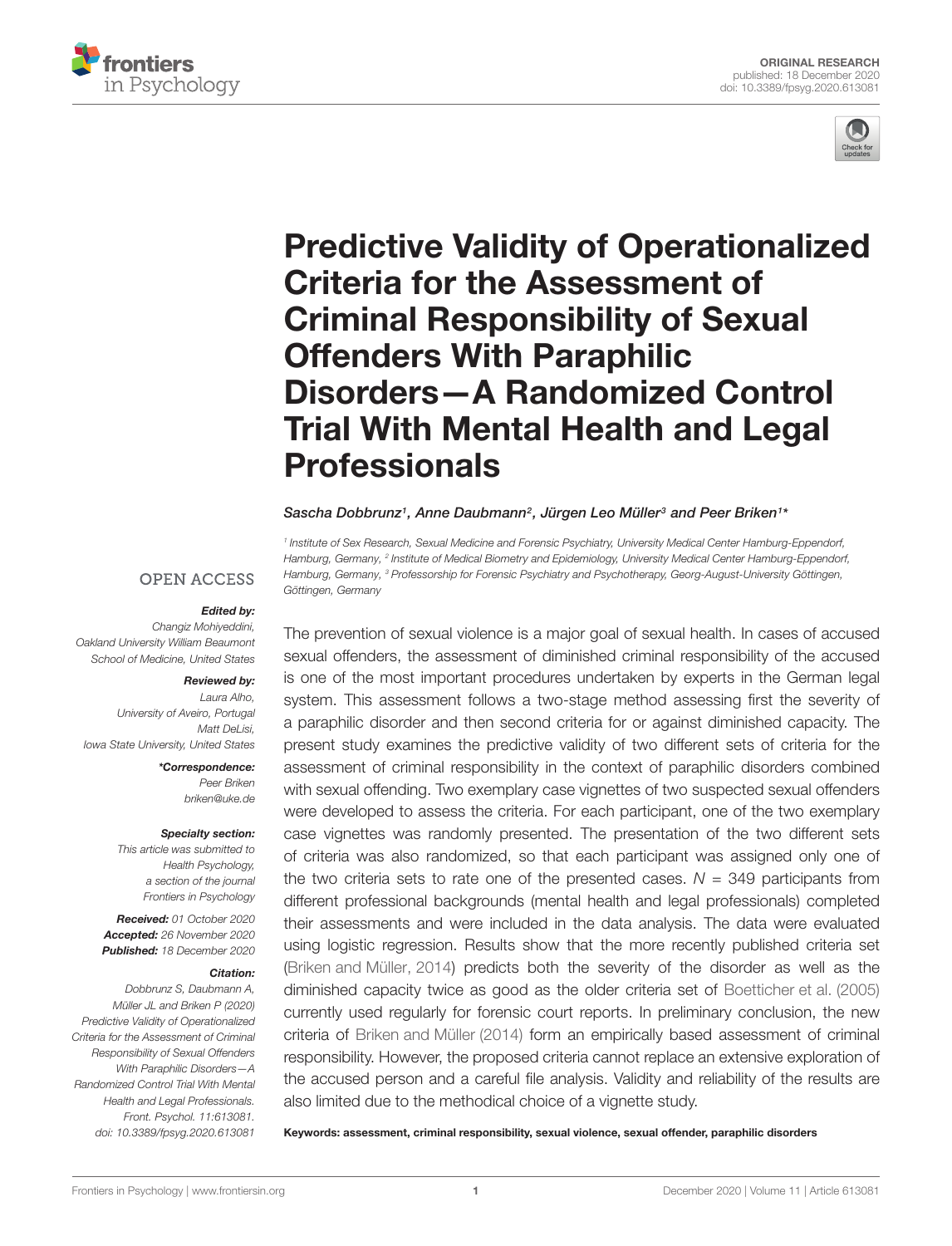



# [Predictive Validity of Operationalized](https://www.frontiersin.org/articles/10.3389/fpsyg.2020.613081/full) Criteria for the Assessment of Criminal Responsibility of Sexual Offenders With Paraphilic Disorders—A Randomized Control Trial With Mental Health and Legal Professionals

Sascha Dobbrunz1, Anne Daubmann<sup>2</sup>, Jürgen Leo Müller<sup>3</sup> and Peer Briken1\*

1 Institute of Sex Research, Sexual Medicine and Forensic Psychiatry, University Medical Center Hamburg-Eppendorf, Hamburg, Germany, <sup>2</sup> Institute of Medical Biometry and Epidemiology, University Medical Center Hamburg-Eppendorf, Hamburg, Germany, <sup>3</sup> Professorship for Forensic Psychiatry and Psychotherapy, Georg-August-University Göttingen, Göttingen, Germany

#### **OPEN ACCESS**

#### Edited by:

Changiz Mohiyeddini, Oakland University William Beaumont School of Medicine, United States

#### Reviewed by:

Laura Alho, University of Aveiro, Portugal Matt Del isi Iowa State University, United States

> \*Correspondence: Peer Briken briken@uke.de

#### Specialty section:

This article was submitted to Health Psychology, a section of the journal Frontiers in Psychology

Received: 01 October 2020 Accepted: 26 November 2020 Published: 18 December 2020

#### Citation:

Dobbrunz S, Daubmann A, Müller JL and Briken P (2020) Predictive Validity of Operationalized Criteria for the Assessment of Criminal Responsibility of Sexual Offenders With Paraphilic Disorders—A Randomized Control Trial With Mental Health and Legal Professionals. Front. Psychol. 11:613081. doi: [10.3389/fpsyg.2020.613081](https://doi.org/10.3389/fpsyg.2020.613081)

The prevention of sexual violence is a major goal of sexual health. In cases of accused sexual offenders, the assessment of diminished criminal responsibility of the accused is one of the most important procedures undertaken by experts in the German legal system. This assessment follows a two-stage method assessing first the severity of a paraphilic disorder and then second criteria for or against diminished capacity. The present study examines the predictive validity of two different sets of criteria for the assessment of criminal responsibility in the context of paraphilic disorders combined with sexual offending. Two exemplary case vignettes of two suspected sexual offenders were developed to assess the criteria. For each participant, one of the two exemplary case vignettes was randomly presented. The presentation of the two different sets of criteria was also randomized, so that each participant was assigned only one of the two criteria sets to rate one of the presented cases.  $N = 349$  participants from different professional backgrounds (mental health and legal professionals) completed their assessments and were included in the data analysis. The data were evaluated using logistic regression. Results show that the more recently published criteria set [\(Briken and Müller,](#page-6-0) [2014\)](#page-6-0) predicts both the severity of the disorder as well as the diminished capacity twice as good as the older criteria set of [Boetticher et al.](#page-6-1) [\(2005\)](#page-6-1) currently used regularly for forensic court reports. In preliminary conclusion, the new criteria of [Briken and Müller](#page-6-0) [\(2014\)](#page-6-0) form an empirically based assessment of criminal responsibility. However, the proposed criteria cannot replace an extensive exploration of the accused person and a careful file analysis. Validity and reliability of the results are also limited due to the methodical choice of a vignette study.

Keywords: assessment, criminal responsibility, sexual violence, sexual offender, paraphilic disorders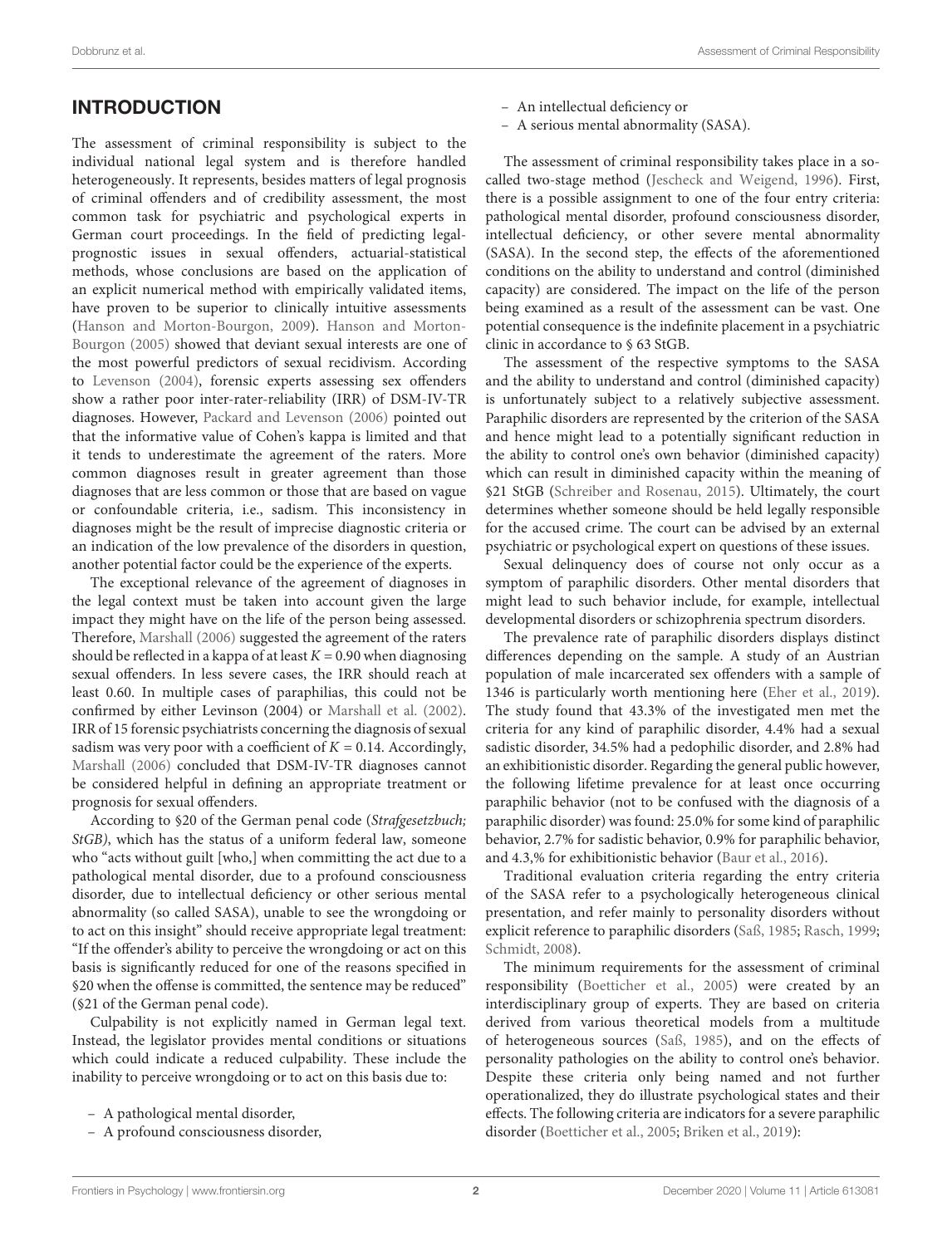### INTRODUCTION

The assessment of criminal responsibility is subject to the individual national legal system and is therefore handled heterogeneously. It represents, besides matters of legal prognosis of criminal offenders and of credibility assessment, the most common task for psychiatric and psychological experts in German court proceedings. In the field of predicting legalprognostic issues in sexual offenders, actuarial-statistical methods, whose conclusions are based on the application of an explicit numerical method with empirically validated items, have proven to be superior to clinically intuitive assessments [\(Hanson and Morton-Bourgon,](#page-6-2) [2009\)](#page-6-2). [Hanson and Morton-](#page-6-3)[Bourgon](#page-6-3) [\(2005\)](#page-6-3) showed that deviant sexual interests are one of the most powerful predictors of sexual recidivism. According to [Levenson](#page-6-4) [\(2004\)](#page-6-4), forensic experts assessing sex offenders show a rather poor inter-rater-reliability (IRR) of DSM-IV-TR diagnoses. However, [Packard and Levenson](#page-6-5) [\(2006\)](#page-6-5) pointed out that the informative value of Cohen's kappa is limited and that it tends to underestimate the agreement of the raters. More common diagnoses result in greater agreement than those diagnoses that are less common or those that are based on vague or confoundable criteria, i.e., sadism. This inconsistency in diagnoses might be the result of imprecise diagnostic criteria or an indication of the low prevalence of the disorders in question, another potential factor could be the experience of the experts.

The exceptional relevance of the agreement of diagnoses in the legal context must be taken into account given the large impact they might have on the life of the person being assessed. Therefore, [Marshall](#page-6-6) [\(2006\)](#page-6-6) suggested the agreement of the raters should be reflected in a kappa of at least  $K = 0.90$  when diagnosing sexual offenders. In less severe cases, the IRR should reach at least 0.60. In multiple cases of paraphilias, this could not be confirmed by either Levinson (2004) or [Marshall et al.](#page-6-7) [\(2002\)](#page-6-7). IRR of 15 forensic psychiatrists concerning the diagnosis of sexual sadism was very poor with a coefficient of  $K = 0.14$ . Accordingly, [Marshall](#page-6-6) [\(2006\)](#page-6-6) concluded that DSM-IV-TR diagnoses cannot be considered helpful in defining an appropriate treatment or prognosis for sexual offenders.

According to §20 of the German penal code (Strafgesetzbuch; StGB), which has the status of a uniform federal law, someone who "acts without guilt [who,] when committing the act due to a pathological mental disorder, due to a profound consciousness disorder, due to intellectual deficiency or other serious mental abnormality (so called SASA), unable to see the wrongdoing or to act on this insight" should receive appropriate legal treatment: "If the offender's ability to perceive the wrongdoing or act on this basis is significantly reduced for one of the reasons specified in §20 when the offense is committed, the sentence may be reduced" (§21 of the German penal code).

Culpability is not explicitly named in German legal text. Instead, the legislator provides mental conditions or situations which could indicate a reduced culpability. These include the inability to perceive wrongdoing or to act on this basis due to:

- A pathological mental disorder,
- A profound consciousness disorder,
- An intellectual deficiency or
- A serious mental abnormality (SASA).

The assessment of criminal responsibility takes place in a socalled two-stage method [\(Jescheck and Weigend,](#page-6-8) [1996\)](#page-6-8). First, there is a possible assignment to one of the four entry criteria: pathological mental disorder, profound consciousness disorder, intellectual deficiency, or other severe mental abnormality (SASA). In the second step, the effects of the aforementioned conditions on the ability to understand and control (diminished capacity) are considered. The impact on the life of the person being examined as a result of the assessment can be vast. One potential consequence is the indefinite placement in a psychiatric clinic in accordance to § 63 StGB.

The assessment of the respective symptoms to the SASA and the ability to understand and control (diminished capacity) is unfortunately subject to a relatively subjective assessment. Paraphilic disorders are represented by the criterion of the SASA and hence might lead to a potentially significant reduction in the ability to control one's own behavior (diminished capacity) which can result in diminished capacity within the meaning of §21 StGB [\(Schreiber and Rosenau,](#page-6-9) [2015\)](#page-6-9). Ultimately, the court determines whether someone should be held legally responsible for the accused crime. The court can be advised by an external psychiatric or psychological expert on questions of these issues.

Sexual delinquency does of course not only occur as a symptom of paraphilic disorders. Other mental disorders that might lead to such behavior include, for example, intellectual developmental disorders or schizophrenia spectrum disorders.

The prevalence rate of paraphilic disorders displays distinct differences depending on the sample. A study of an Austrian population of male incarcerated sex offenders with a sample of 1346 is particularly worth mentioning here [\(Eher et al.,](#page-6-10) [2019\)](#page-6-10). The study found that 43.3% of the investigated men met the criteria for any kind of paraphilic disorder, 4.4% had a sexual sadistic disorder, 34.5% had a pedophilic disorder, and 2.8% had an exhibitionistic disorder. Regarding the general public however, the following lifetime prevalence for at least once occurring paraphilic behavior (not to be confused with the diagnosis of a paraphilic disorder) was found: 25.0% for some kind of paraphilic behavior, 2.7% for sadistic behavior, 0.9% for paraphilic behavior, and 4.3,% for exhibitionistic behavior [\(Baur et al.,](#page-6-11) [2016\)](#page-6-11).

Traditional evaluation criteria regarding the entry criteria of the SASA refer to a psychologically heterogeneous clinical presentation, and refer mainly to personality disorders without explicit reference to paraphilic disorders [\(Saß,](#page-6-12) [1985;](#page-6-12) [Rasch,](#page-6-13) [1999;](#page-6-13) [Schmidt,](#page-6-14) [2008\)](#page-6-14).

The minimum requirements for the assessment of criminal responsibility [\(Boetticher et al.,](#page-6-1) [2005\)](#page-6-1) were created by an interdisciplinary group of experts. They are based on criteria derived from various theoretical models from a multitude of heterogeneous sources [\(Saß,](#page-6-12) [1985\)](#page-6-12), and on the effects of personality pathologies on the ability to control one's behavior. Despite these criteria only being named and not further operationalized, they do illustrate psychological states and their effects. The following criteria are indicators for a severe paraphilic disorder [\(Boetticher et al.,](#page-6-1) [2005;](#page-6-1) [Briken et al.,](#page-6-15) [2019\)](#page-6-15):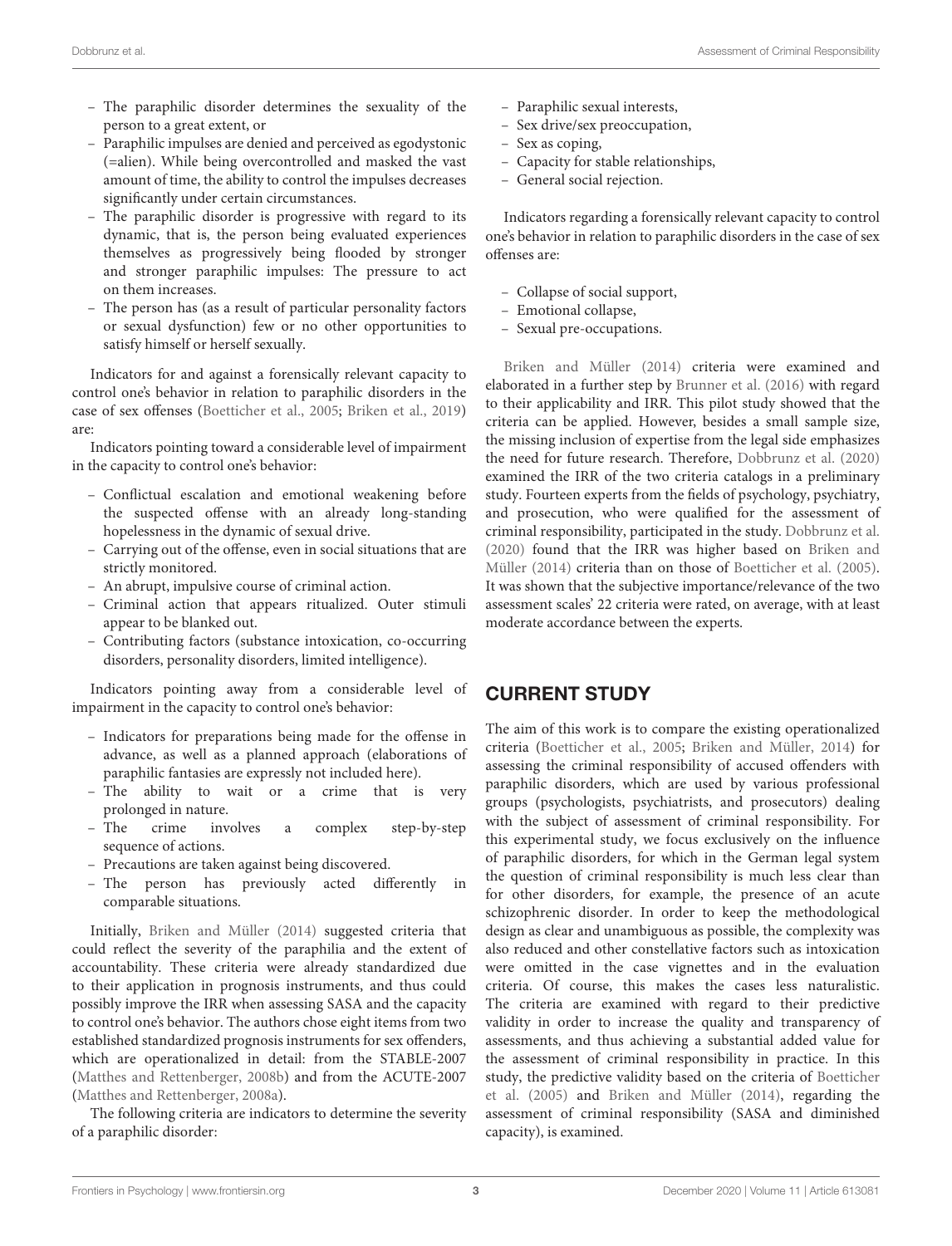- The paraphilic disorder determines the sexuality of the person to a great extent, or
- Paraphilic impulses are denied and perceived as egodystonic (=alien). While being overcontrolled and masked the vast amount of time, the ability to control the impulses decreases significantly under certain circumstances.
- The paraphilic disorder is progressive with regard to its dynamic, that is, the person being evaluated experiences themselves as progressively being flooded by stronger and stronger paraphilic impulses: The pressure to act on them increases.
- The person has (as a result of particular personality factors or sexual dysfunction) few or no other opportunities to satisfy himself or herself sexually.

Indicators for and against a forensically relevant capacity to control one's behavior in relation to paraphilic disorders in the case of sex offenses [\(Boetticher et al.,](#page-6-1) [2005;](#page-6-1) [Briken et al.,](#page-6-15) [2019\)](#page-6-15) are:

Indicators pointing toward a considerable level of impairment in the capacity to control one's behavior:

- Conflictual escalation and emotional weakening before the suspected offense with an already long-standing hopelessness in the dynamic of sexual drive.
- Carrying out of the offense, even in social situations that are strictly monitored.
- An abrupt, impulsive course of criminal action.
- Criminal action that appears ritualized. Outer stimuli appear to be blanked out.
- Contributing factors (substance intoxication, co-occurring disorders, personality disorders, limited intelligence).

Indicators pointing away from a considerable level of impairment in the capacity to control one's behavior:

- Indicators for preparations being made for the offense in advance, as well as a planned approach (elaborations of paraphilic fantasies are expressly not included here).
- The ability to wait or a crime that is very prolonged in nature.
- The crime involves a complex step-by-step sequence of actions.
- Precautions are taken against being discovered.
- The person has previously acted differently in comparable situations.

Initially, [Briken and Müller](#page-6-0) [\(2014\)](#page-6-0) suggested criteria that could reflect the severity of the paraphilia and the extent of accountability. These criteria were already standardized due to their application in prognosis instruments, and thus could possibly improve the IRR when assessing SASA and the capacity to control one's behavior. The authors chose eight items from two established standardized prognosis instruments for sex offenders, which are operationalized in detail: from the STABLE-2007 [\(Matthes and Rettenberger,](#page-6-16) [2008b\)](#page-6-16) and from the ACUTE-2007 [\(Matthes and Rettenberger,](#page-6-17) [2008a\)](#page-6-17).

The following criteria are indicators to determine the severity of a paraphilic disorder:

- Paraphilic sexual interests,
- Sex drive/sex preoccupation,
- Sex as coping,
- Capacity for stable relationships,
- General social rejection.

Indicators regarding a forensically relevant capacity to control one's behavior in relation to paraphilic disorders in the case of sex offenses are:

- Collapse of social support,
- Emotional collapse,
- Sexual pre-occupations.

[Briken and Müller](#page-6-0) [\(2014\)](#page-6-0) criteria were examined and elaborated in a further step by [Brunner et al.](#page-6-18) [\(2016\)](#page-6-18) with regard to their applicability and IRR. This pilot study showed that the criteria can be applied. However, besides a small sample size, the missing inclusion of expertise from the legal side emphasizes the need for future research. Therefore, [Dobbrunz et al.](#page-6-19) [\(2020\)](#page-6-19) examined the IRR of the two criteria catalogs in a preliminary study. Fourteen experts from the fields of psychology, psychiatry, and prosecution, who were qualified for the assessment of criminal responsibility, participated in the study. [Dobbrunz et al.](#page-6-19) [\(2020\)](#page-6-19) found that the IRR was higher based on [Briken and](#page-6-0) [Müller](#page-6-0) [\(2014\)](#page-6-0) criteria than on those of [Boetticher et al.](#page-6-1) [\(2005\)](#page-6-1). It was shown that the subjective importance/relevance of the two assessment scales' 22 criteria were rated, on average, with at least moderate accordance between the experts.

### CURRENT STUDY

The aim of this work is to compare the existing operationalized criteria [\(Boetticher et al.,](#page-6-1) [2005;](#page-6-1) [Briken and Müller,](#page-6-0) [2014\)](#page-6-0) for assessing the criminal responsibility of accused offenders with paraphilic disorders, which are used by various professional groups (psychologists, psychiatrists, and prosecutors) dealing with the subject of assessment of criminal responsibility. For this experimental study, we focus exclusively on the influence of paraphilic disorders, for which in the German legal system the question of criminal responsibility is much less clear than for other disorders, for example, the presence of an acute schizophrenic disorder. In order to keep the methodological design as clear and unambiguous as possible, the complexity was also reduced and other constellative factors such as intoxication were omitted in the case vignettes and in the evaluation criteria. Of course, this makes the cases less naturalistic. The criteria are examined with regard to their predictive validity in order to increase the quality and transparency of assessments, and thus achieving a substantial added value for the assessment of criminal responsibility in practice. In this study, the predictive validity based on the criteria of [Boetticher](#page-6-1) [et al.](#page-6-1) [\(2005\)](#page-6-1) and [Briken and Müller](#page-6-0) [\(2014\)](#page-6-0), regarding the assessment of criminal responsibility (SASA and diminished capacity), is examined.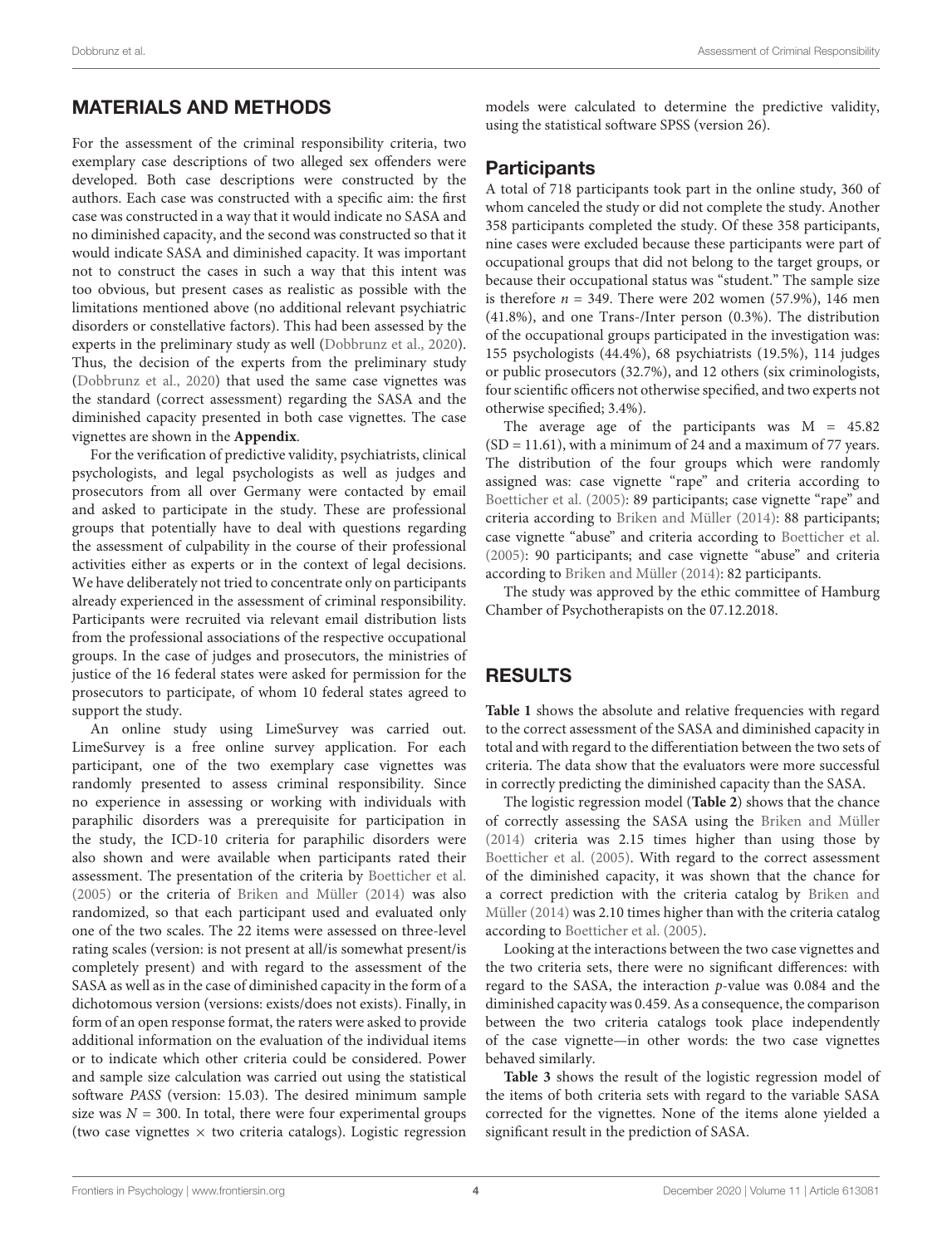# MATERIALS AND METHODS

For the assessment of the criminal responsibility criteria, two exemplary case descriptions of two alleged sex offenders were developed. Both case descriptions were constructed by the authors. Each case was constructed with a specific aim: the first case was constructed in a way that it would indicate no SASA and no diminished capacity, and the second was constructed so that it would indicate SASA and diminished capacity. It was important not to construct the cases in such a way that this intent was too obvious, but present cases as realistic as possible with the limitations mentioned above (no additional relevant psychiatric disorders or constellative factors). This had been assessed by the experts in the preliminary study as well [\(Dobbrunz et al.,](#page-6-19) [2020\)](#page-6-19). Thus, the decision of the experts from the preliminary study [\(Dobbrunz et al.,](#page-6-19) [2020\)](#page-6-19) that used the same case vignettes was the standard (correct assessment) regarding the SASA and the diminished capacity presented in both case vignettes. The case vignettes are shown in the **[Appendix](#page-7-0)**.

For the verification of predictive validity, psychiatrists, clinical psychologists, and legal psychologists as well as judges and prosecutors from all over Germany were contacted by email and asked to participate in the study. These are professional groups that potentially have to deal with questions regarding the assessment of culpability in the course of their professional activities either as experts or in the context of legal decisions. We have deliberately not tried to concentrate only on participants already experienced in the assessment of criminal responsibility. Participants were recruited via relevant email distribution lists from the professional associations of the respective occupational groups. In the case of judges and prosecutors, the ministries of justice of the 16 federal states were asked for permission for the prosecutors to participate, of whom 10 federal states agreed to support the study.

An online study using LimeSurvey was carried out. LimeSurvey is a free online survey application. For each participant, one of the two exemplary case vignettes was randomly presented to assess criminal responsibility. Since no experience in assessing or working with individuals with paraphilic disorders was a prerequisite for participation in the study, the ICD-10 criteria for paraphilic disorders were also shown and were available when participants rated their assessment. The presentation of the criteria by [Boetticher et al.](#page-6-1) [\(2005\)](#page-6-1) or the criteria of [Briken and Müller](#page-6-0) [\(2014\)](#page-6-0) was also randomized, so that each participant used and evaluated only one of the two scales. The 22 items were assessed on three-level rating scales (version: is not present at all/is somewhat present/is completely present) and with regard to the assessment of the SASA as well as in the case of diminished capacity in the form of a dichotomous version (versions: exists/does not exists). Finally, in form of an open response format, the raters were asked to provide additional information on the evaluation of the individual items or to indicate which other criteria could be considered. Power and sample size calculation was carried out using the statistical software PASS (version: 15.03). The desired minimum sample size was  $N = 300$ . In total, there were four experimental groups (two case vignettes  $\times$  two criteria catalogs). Logistic regression

models were calculated to determine the predictive validity, using the statistical software SPSS (version 26).

# Participants

A total of 718 participants took part in the online study, 360 of whom canceled the study or did not complete the study. Another 358 participants completed the study. Of these 358 participants, nine cases were excluded because these participants were part of occupational groups that did not belong to the target groups, or because their occupational status was "student." The sample size is therefore  $n = 349$ . There were 202 women (57.9%), 146 men (41.8%), and one Trans-/Inter person (0.3%). The distribution of the occupational groups participated in the investigation was: 155 psychologists (44.4%), 68 psychiatrists (19.5%), 114 judges or public prosecutors (32.7%), and 12 others (six criminologists, four scientific officers not otherwise specified, and two experts not otherwise specified; 3.4%).

The average age of the participants was  $M = 45.82$  $(SD = 11.61)$ , with a minimum of 24 and a maximum of 77 years. The distribution of the four groups which were randomly assigned was: case vignette "rape" and criteria according to [Boetticher et al.](#page-6-1) [\(2005\)](#page-6-1): 89 participants; case vignette "rape" and criteria according to [Briken and Müller](#page-6-0) [\(2014\)](#page-6-0): 88 participants; case vignette "abuse" and criteria according to [Boetticher et al.](#page-6-1) [\(2005\)](#page-6-1): 90 participants; and case vignette "abuse" and criteria according to [Briken and Müller](#page-6-0) [\(2014\)](#page-6-0): 82 participants.

The study was approved by the ethic committee of Hamburg Chamber of Psychotherapists on the 07.12.2018.

### RESULTS

**[Table 1](#page-4-0)** shows the absolute and relative frequencies with regard to the correct assessment of the SASA and diminished capacity in total and with regard to the differentiation between the two sets of criteria. The data show that the evaluators were more successful in correctly predicting the diminished capacity than the SASA.

The logistic regression model (**[Table 2](#page-4-1)**) shows that the chance of correctly assessing the SASA using the [Briken and Müller](#page-6-0) [\(2014\)](#page-6-0) criteria was 2.15 times higher than using those by [Boetticher et al.](#page-6-1) [\(2005\)](#page-6-1). With regard to the correct assessment of the diminished capacity, it was shown that the chance for a correct prediction with the criteria catalog by [Briken and](#page-6-0) [Müller](#page-6-0) [\(2014\)](#page-6-0) was 2.10 times higher than with the criteria catalog according to [Boetticher et al.](#page-6-1) [\(2005\)](#page-6-1).

Looking at the interactions between the two case vignettes and the two criteria sets, there were no significant differences: with regard to the SASA, the interaction p-value was 0.084 and the diminished capacity was 0.459. As a consequence, the comparison between the two criteria catalogs took place independently of the case vignette—in other words: the two case vignettes behaved similarly.

**[Table 3](#page-4-2)** shows the result of the logistic regression model of the items of both criteria sets with regard to the variable SASA corrected for the vignettes. None of the items alone yielded a significant result in the prediction of SASA.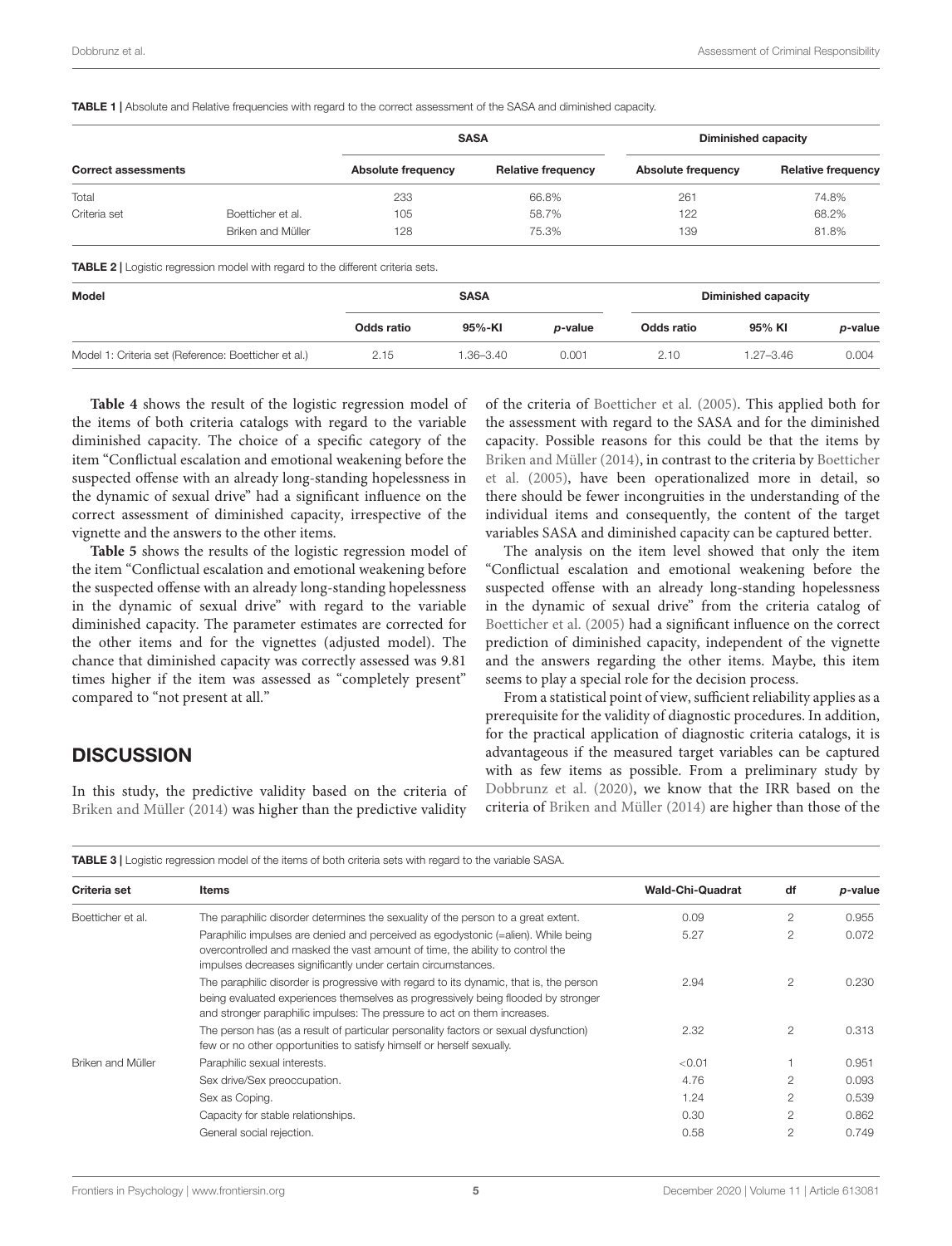<span id="page-4-0"></span>

|                                                      |                                                                                        | <b>SASA</b>        |               |                           | <b>Diminished capacity</b> |               |                           |  |
|------------------------------------------------------|----------------------------------------------------------------------------------------|--------------------|---------------|---------------------------|----------------------------|---------------|---------------------------|--|
| <b>Correct assessments</b>                           |                                                                                        | Absolute frequency |               | <b>Relative frequency</b> | <b>Absolute frequency</b>  |               | <b>Relative frequency</b> |  |
| Total                                                |                                                                                        | 233                |               | 66.8%                     | 261                        |               | 74.8%                     |  |
| Criteria set                                         | Boetticher et al.                                                                      | 105                |               | 58.7%                     | 122                        |               | 68.2%                     |  |
|                                                      | Briken and Müller                                                                      | 128                | 75.3%<br>139  |                           |                            | 81.8%         |                           |  |
|                                                      | <b>TABLE 2</b>   Logistic regression model with regard to the different criteria sets. |                    |               |                           |                            |               |                           |  |
| Model                                                |                                                                                        | <b>SASA</b>        |               |                           | <b>Diminished capacity</b> |               |                           |  |
|                                                      |                                                                                        | Odds ratio         | 95%-KI        | p-value                   | Odds ratio                 | 95% KI        | p-value                   |  |
| Model 1: Criteria set (Reference: Boetticher et al.) |                                                                                        | 2.15               | $1.36 - 3.40$ | 0.001                     | 2.10                       | $1.27 - 3.46$ | 0.004                     |  |

<span id="page-4-1"></span>**[Table 4](#page-5-0)** shows the result of the logistic regression model of the items of both criteria catalogs with regard to the variable diminished capacity. The choice of a specific category of the item "Conflictual escalation and emotional weakening before the suspected offense with an already long-standing hopelessness in the dynamic of sexual drive" had a significant influence on the correct assessment of diminished capacity, irrespective of the vignette and the answers to the other items.

**[Table 5](#page-5-1)** shows the results of the logistic regression model of the item "Conflictual escalation and emotional weakening before the suspected offense with an already long-standing hopelessness in the dynamic of sexual drive" with regard to the variable diminished capacity. The parameter estimates are corrected for the other items and for the vignettes (adjusted model). The chance that diminished capacity was correctly assessed was 9.81 times higher if the item was assessed as "completely present" compared to "not present at all."

#### **DISCUSSION**

In this study, the predictive validity based on the criteria of [Briken and Müller](#page-6-0) [\(2014\)](#page-6-0) was higher than the predictive validity

of the criteria of [Boetticher et al.](#page-6-1) [\(2005\)](#page-6-1). This applied both for the assessment with regard to the SASA and for the diminished capacity. Possible reasons for this could be that the items by [Briken and Müller](#page-6-0) [\(2014\)](#page-6-0), in contrast to the criteria by [Boetticher](#page-6-1) [et al.](#page-6-1) [\(2005\)](#page-6-1), have been operationalized more in detail, so there should be fewer incongruities in the understanding of the individual items and consequently, the content of the target variables SASA and diminished capacity can be captured better.

The analysis on the item level showed that only the item "Conflictual escalation and emotional weakening before the suspected offense with an already long-standing hopelessness in the dynamic of sexual drive" from the criteria catalog of [Boetticher et al.](#page-6-1) [\(2005\)](#page-6-1) had a significant influence on the correct prediction of diminished capacity, independent of the vignette and the answers regarding the other items. Maybe, this item seems to play a special role for the decision process.

From a statistical point of view, sufficient reliability applies as a prerequisite for the validity of diagnostic procedures. In addition, for the practical application of diagnostic criteria catalogs, it is advantageous if the measured target variables can be captured with as few items as possible. From a preliminary study by [Dobbrunz et al.](#page-6-19) [\(2020\)](#page-6-19), we know that the IRR based on the criteria of [Briken and Müller](#page-6-0) [\(2014\)](#page-6-0) are higher than those of the

<span id="page-4-2"></span>TABLE 3 | Logistic regression model of the items of both criteria sets with regard to the variable SASA.

| Criteria set      | Items                                                                                                                                                                                                                                                   | <b>Wald-Chi-Quadrat</b> | df             | <i>p</i> -value |
|-------------------|---------------------------------------------------------------------------------------------------------------------------------------------------------------------------------------------------------------------------------------------------------|-------------------------|----------------|-----------------|
| Boetticher et al. | The paraphilic disorder determines the sexuality of the person to a great extent.                                                                                                                                                                       | 0.09                    | $\mathfrak{p}$ | 0.955           |
|                   | Paraphilic impulses are denied and perceived as egodystonic (=alien). While being<br>overcontrolled and masked the vast amount of time, the ability to control the<br>impulses decreases significantly under certain circumstances.                     | 5.27                    | $\mathfrak{p}$ | 0.072           |
|                   | The paraphilic disorder is progressive with regard to its dynamic, that is, the person<br>being evaluated experiences themselves as progressively being flooded by stronger<br>and stronger paraphilic impulses: The pressure to act on them increases. | 2.94                    | $\mathcal{P}$  | 0.230           |
|                   | The person has (as a result of particular personality factors or sexual dysfunction)<br>few or no other opportunities to satisfy himself or herself sexually.                                                                                           | 2.32                    | $\overline{2}$ | 0.313           |
| Briken and Müller | Paraphilic sexual interests.                                                                                                                                                                                                                            | < 0.01                  |                | 0.951           |
|                   | Sex drive/Sex preoccupation.                                                                                                                                                                                                                            | 4.76                    | $\mathcal{P}$  | 0.093           |
|                   | Sex as Coping.                                                                                                                                                                                                                                          | 1.24                    | $\overline{2}$ | 0.539           |
|                   | Capacity for stable relationships.                                                                                                                                                                                                                      | 0.30                    | $\mathfrak{p}$ | 0.862           |
|                   | General social rejection.                                                                                                                                                                                                                               | 0.58                    | $\mathfrak{p}$ | 0.749           |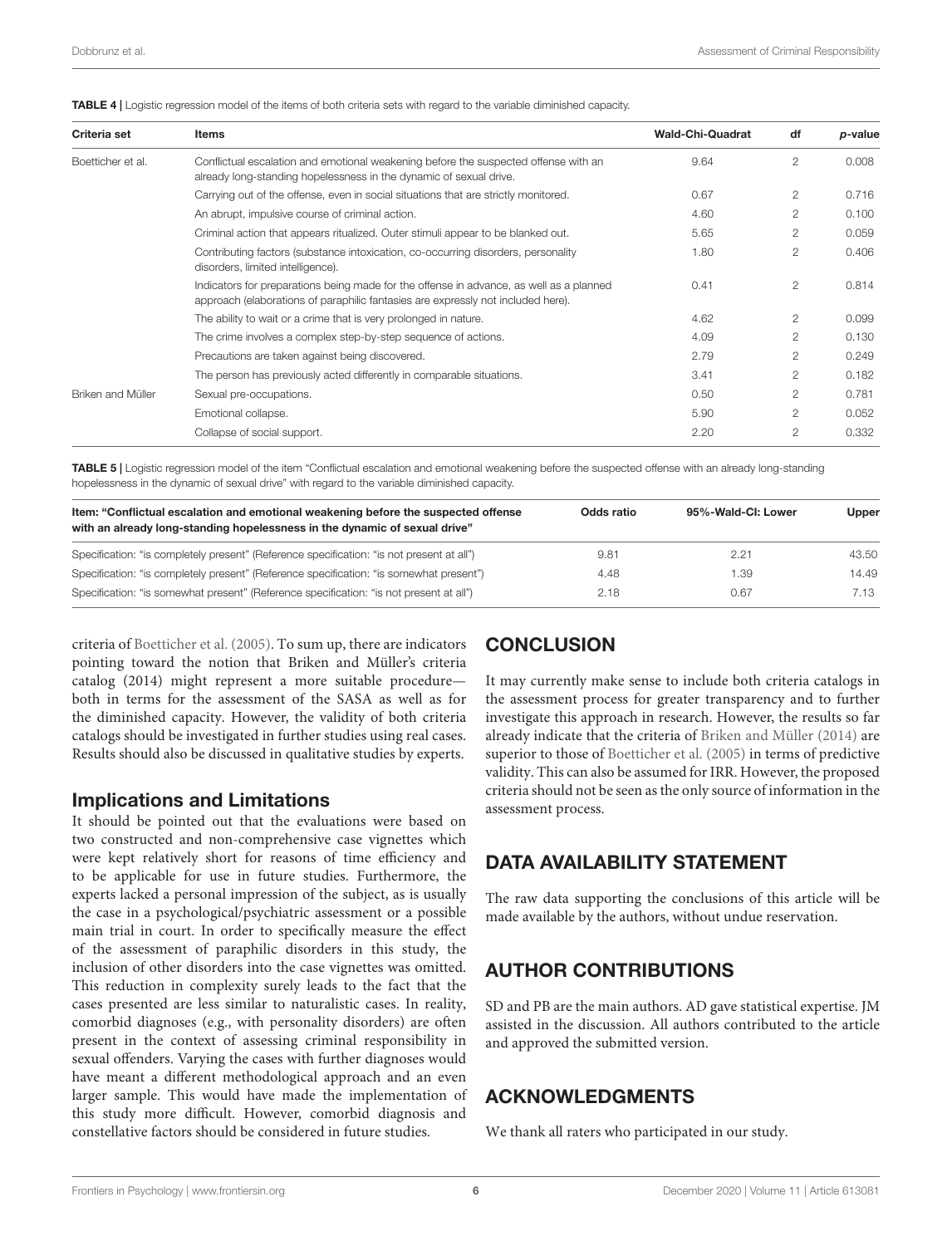<span id="page-5-0"></span>

|  | <b>TABLE 4</b>   Logistic regression model of the items of both criteria sets with regard to the variable diminished capacity. |
|--|--------------------------------------------------------------------------------------------------------------------------------|
|--|--------------------------------------------------------------------------------------------------------------------------------|

| Criteria set      | <b>Items</b>                                                                                                                                                                | <b>Wald-Chi-Quadrat</b> | df             | p-value |
|-------------------|-----------------------------------------------------------------------------------------------------------------------------------------------------------------------------|-------------------------|----------------|---------|
| Boetticher et al. | Conflictual escalation and emotional weakening before the suspected offense with an<br>already long-standing hopelessness in the dynamic of sexual drive.                   | 9.64                    | $\overline{2}$ | 0.008   |
|                   | Carrying out of the offense, even in social situations that are strictly monitored.                                                                                         | 0.67                    | $\overline{2}$ | 0.716   |
|                   | An abrupt, impulsive course of criminal action.                                                                                                                             | 4.60                    | 2              | 0.100   |
|                   | Criminal action that appears ritualized. Outer stimuli appear to be blanked out.                                                                                            | 5.65                    | $\overline{2}$ | 0.059   |
|                   | Contributing factors (substance intoxication, co-occurring disorders, personality<br>disorders, limited intelligence).                                                      | 1.80                    | $\overline{2}$ | 0.406   |
|                   | Indicators for preparations being made for the offense in advance, as well as a planned<br>approach (elaborations of paraphilic fantasies are expressly not included here). | 0.41                    | $\mathbf{2}$   | 0.814   |
|                   | The ability to wait or a crime that is very prolonged in nature.                                                                                                            | 4.62                    | $\overline{2}$ | 0.099   |
|                   | The crime involves a complex step-by-step sequence of actions.                                                                                                              | 4.09                    | 2              | 0.130   |
|                   | Precautions are taken against being discovered.                                                                                                                             | 2.79                    | $\mathcal{L}$  | 0.249   |
|                   | The person has previously acted differently in comparable situations.                                                                                                       | 3.41                    | $\mathcal{L}$  | 0.182   |
| Briken and Müller | Sexual pre-occupations.                                                                                                                                                     | 0.50                    | $\mathcal{L}$  | 0.781   |
|                   | Emotional collapse.                                                                                                                                                         | 5.90                    | $\mathcal{L}$  | 0.052   |
|                   | Collapse of social support.                                                                                                                                                 | 2.20                    | $\overline{2}$ | 0.332   |

<span id="page-5-1"></span>TABLE 5 | Logistic regression model of the item "Conflictual escalation and emotional weakening before the suspected offense with an already long-standing hopelessness in the dynamic of sexual drive" with regard to the variable diminished capacity.

| Item: "Conflictual escalation and emotional weakening before the suspected offense<br>with an already long-standing hopelessness in the dynamic of sexual drive" | Odds ratio | 95%-Wald-CI: Lower | <b>Upper</b> |
|------------------------------------------------------------------------------------------------------------------------------------------------------------------|------------|--------------------|--------------|
| Specification: "is completely present" (Reference specification: "is not present at all")                                                                        | 9.81       | 2.21               | 43.50        |
| Specification: "is completely present" (Reference specification: "is somewhat present")                                                                          | 4.48       | 1.39               | 14.49        |
| Specification: "is somewhat present" (Reference specification: "is not present at all")                                                                          | 2.18       | 0.67               | 7.13         |

criteria of [Boetticher et al.](#page-6-1) [\(2005\)](#page-6-1). To sum up, there are indicators pointing toward the notion that Briken and Müller's criteria catalog (2014) might represent a more suitable procedure both in terms for the assessment of the SASA as well as for the diminished capacity. However, the validity of both criteria catalogs should be investigated in further studies using real cases. Results should also be discussed in qualitative studies by experts.

#### Implications and Limitations

It should be pointed out that the evaluations were based on two constructed and non-comprehensive case vignettes which were kept relatively short for reasons of time efficiency and to be applicable for use in future studies. Furthermore, the experts lacked a personal impression of the subject, as is usually the case in a psychological/psychiatric assessment or a possible main trial in court. In order to specifically measure the effect of the assessment of paraphilic disorders in this study, the inclusion of other disorders into the case vignettes was omitted. This reduction in complexity surely leads to the fact that the cases presented are less similar to naturalistic cases. In reality, comorbid diagnoses (e.g., with personality disorders) are often present in the context of assessing criminal responsibility in sexual offenders. Varying the cases with further diagnoses would have meant a different methodological approach and an even larger sample. This would have made the implementation of this study more difficult. However, comorbid diagnosis and constellative factors should be considered in future studies.

### **CONCLUSION**

It may currently make sense to include both criteria catalogs in the assessment process for greater transparency and to further investigate this approach in research. However, the results so far already indicate that the criteria of [Briken and Müller](#page-6-0) [\(2014\)](#page-6-0) are superior to those of [Boetticher et al.](#page-6-1) [\(2005\)](#page-6-1) in terms of predictive validity. This can also be assumed for IRR. However, the proposed criteria should not be seen as the only source of information in the assessment process.

### DATA AVAILABILITY STATEMENT

The raw data supporting the conclusions of this article will be made available by the authors, without undue reservation.

### AUTHOR CONTRIBUTIONS

SD and PB are the main authors. AD gave statistical expertise. JM assisted in the discussion. All authors contributed to the article and approved the submitted version.

#### ACKNOWLEDGMENTS

We thank all raters who participated in our study.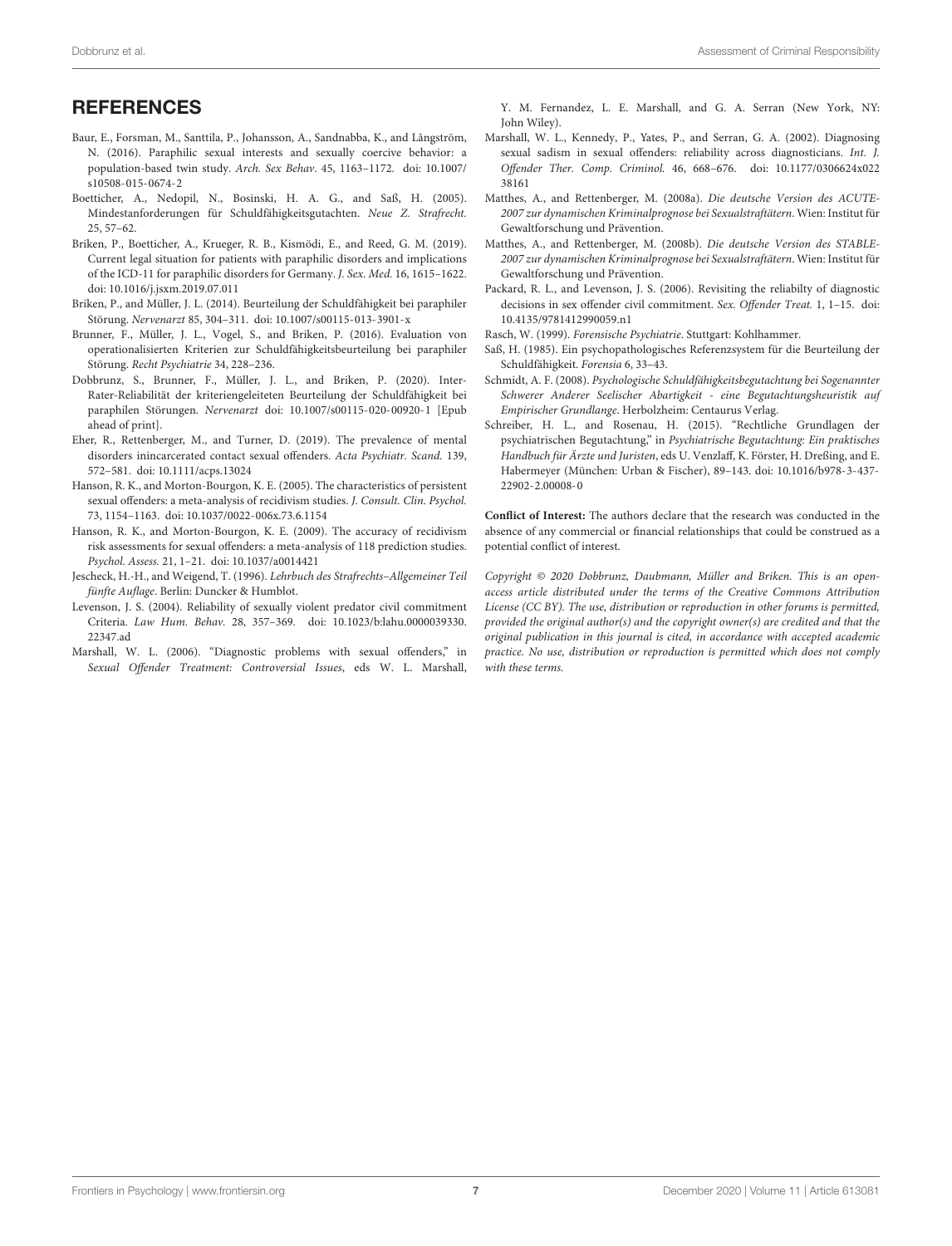#### **REFERENCES**

- <span id="page-6-11"></span>Baur, E., Forsman, M., Santtila, P., Johansson, A., Sandnabba, K., and Långström, N. (2016). Paraphilic sexual interests and sexually coercive behavior: a population-based twin study. Arch. Sex Behav. 45, 1163–1172. [doi: 10.1007/](https://doi.org/10.1007/s10508-015-0674-2) [s10508-015-0674-2](https://doi.org/10.1007/s10508-015-0674-2)
- <span id="page-6-1"></span>Boetticher, A., Nedopil, N., Bosinski, H. A. G., and Saß, H. (2005). Mindestanforderungen für Schuldfähigkeitsgutachten. Neue Z. Strafrecht. 25, 57–62.
- <span id="page-6-15"></span>Briken, P., Boetticher, A., Krueger, R. B., Kismödi, E., and Reed, G. M. (2019). Current legal situation for patients with paraphilic disorders and implications of the ICD-11 for paraphilic disorders for Germany. J. Sex. Med. 16, 1615–1622. [doi: 10.1016/j.jsxm.2019.07.011](https://doi.org/10.1016/j.jsxm.2019.07.011)
- <span id="page-6-0"></span>Briken, P., and Müller, J. L. (2014). Beurteilung der Schuldfähigkeit bei paraphiler Störung. Nervenarzt 85, 304–311. [doi: 10.1007/s00115-013-3901-x](https://doi.org/10.1007/s00115-013-3901-x)
- <span id="page-6-18"></span>Brunner, F., Müller, J. L., Vogel, S., and Briken, P. (2016). Evaluation von operationalisierten Kriterien zur Schuldfähigkeitsbeurteilung bei paraphiler Störung. Recht Psychiatrie 34, 228–236.
- <span id="page-6-19"></span>Dobbrunz, S., Brunner, F., Müller, J. L., and Briken, P. (2020). Inter-Rater-Reliabilität der kriteriengeleiteten Beurteilung der Schuldfähigkeit bei paraphilen Störungen. Nervenarzt [doi: 10.1007/s00115-020-00920-1](https://doi.org/10.1007/s00115-020-00920-1) [Epub ahead of print].
- <span id="page-6-10"></span>Eher, R., Rettenberger, M., and Turner, D. (2019). The prevalence of mental disorders inincarcerated contact sexual offenders. Acta Psychiatr. Scand. 139, 572–581. [doi: 10.1111/acps.13024](https://doi.org/10.1111/acps.13024)
- <span id="page-6-3"></span>Hanson, R. K., and Morton-Bourgon, K. E. (2005). The characteristics of persistent sexual offenders: a meta-analysis of recidivism studies. J. Consult. Clin. Psychol. 73, 1154–1163. [doi: 10.1037/0022-006x.73.6.1154](https://doi.org/10.1037/0022-006x.73.6.1154)
- <span id="page-6-2"></span>Hanson, R. K., and Morton-Bourgon, K. E. (2009). The accuracy of recidivism risk assessments for sexual offenders: a meta-analysis of 118 prediction studies. Psychol. Assess. 21, 1–21. [doi: 10.1037/a0014421](https://doi.org/10.1037/a0014421)
- <span id="page-6-8"></span>Jescheck, H.-H., and Weigend, T. (1996). Lehrbuch des Strafrechts–Allgemeiner Teil fünfte Auflage. Berlin: Duncker & Humblot.
- <span id="page-6-4"></span>Levenson, J. S. (2004). Reliability of sexually violent predator civil commitment Criteria. Law Hum. Behav. 28, 357–369. [doi: 10.1023/b:lahu.0000039330.](https://doi.org/10.1023/b:lahu.0000039330.22347.ad) [22347.ad](https://doi.org/10.1023/b:lahu.0000039330.22347.ad)
- <span id="page-6-6"></span>Marshall, W. L. (2006). "Diagnostic problems with sexual offenders," in Sexual Offender Treatment: Controversial Issues, eds W. L. Marshall,

Y. M. Fernandez, L. E. Marshall, and G. A. Serran (New York, NY: John Wiley).

- <span id="page-6-7"></span>Marshall, W. L., Kennedy, P., Yates, P., and Serran, G. A. (2002). Diagnosing sexual sadism in sexual offenders: reliability across diagnosticians. Int. J. Offender Ther. Comp. Criminol. 46, 668–676. [doi: 10.1177/0306624x022](https://doi.org/10.1177/0306624x02238161) [38161](https://doi.org/10.1177/0306624x02238161)
- <span id="page-6-17"></span>Matthes, A., and Rettenberger, M. (2008a). Die deutsche Version des ACUTE-2007 zur dynamischen Kriminalprognose bei Sexualstraftätern. Wien: Institut für Gewaltforschung und Prävention.
- <span id="page-6-16"></span>Matthes, A., and Rettenberger, M. (2008b). Die deutsche Version des STABLE-2007 zur dynamischen Kriminalprognose bei Sexualstraftätern. Wien: Institut für Gewaltforschung und Prävention.
- <span id="page-6-5"></span>Packard, R. L., and Levenson, J. S. (2006). Revisiting the reliabilty of diagnostic decisions in sex offender civil commitment. Sex. Offender Treat. 1, 1–15. [doi:](https://doi.org/10.4135/9781412990059.n1) [10.4135/9781412990059.n1](https://doi.org/10.4135/9781412990059.n1)
- <span id="page-6-13"></span>Rasch, W. (1999). Forensische Psychiatrie. Stuttgart: Kohlhammer.
- <span id="page-6-12"></span>Saß, H. (1985). Ein psychopathologisches Referenzsystem für die Beurteilung der Schuldfähigkeit. Forensia 6, 33–43.
- <span id="page-6-14"></span>Schmidt, A. F. (2008). Psychologische Schuldfähigkeitsbegutachtung bei Sogenannter Schwerer Anderer Seelischer Abartigkeit - eine Begutachtungsheuristik auf Empirischer Grundlange. Herbolzheim: Centaurus Verlag.
- <span id="page-6-9"></span>Schreiber, H. L., and Rosenau, H. (2015). "Rechtliche Grundlagen der psychiatrischen Begutachtung," in Psychiatrische Begutachtung: Ein praktisches Handbuch für Ärzte und Juristen, eds U. Venzlaff, K. Förster, H. Dreßing, and E. Habermeyer (München: Urban & Fischer), 89–143. [doi: 10.1016/b978-3-437-](https://doi.org/10.1016/b978-3-437-22902-2.00008-0) [22902-2.00008-0](https://doi.org/10.1016/b978-3-437-22902-2.00008-0)

**Conflict of Interest:** The authors declare that the research was conducted in the absence of any commercial or financial relationships that could be construed as a potential conflict of interest.

Copyright © 2020 Dobbrunz, Daubmann, Müller and Briken. This is an openaccess article distributed under the terms of the [Creative](http://creativecommons.org/licenses/by/4.0/) [Commons](http://creativecommons.org/licenses/by/4.0/) [Attribution](http://creativecommons.org/licenses/by/4.0/) [License](http://creativecommons.org/licenses/by/4.0/) [\(CC BY\).](http://creativecommons.org/licenses/by/4.0/) The use, distribution or reproduction in other forums is permitted, provided the original author(s) and the copyright owner(s) are credited and that the original publication in this journal is cited, in accordance with accepted academic practice. No use, distribution or reproduction is permitted which does not comply with these terms.